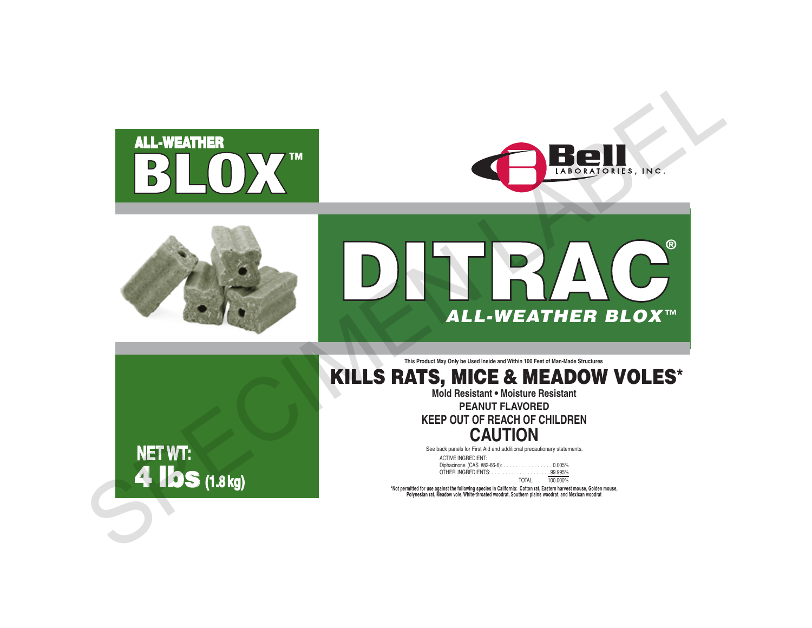







**This Product May Only be Used Inside and Within 100 Feet of Man-Made Structures**

# KILLS RATS, MICE & MEADOW VOLES\*

**Mold Resistant • Moisture Resistant**

**PEANUT FLAVORED**

**KEEP OUT OF REACH OF CHILDREN CAUTION**

See back panels for First Aid and additional precautionary statements.

| <b>ACTIVE INGREDIENT:</b>          |                |  |
|------------------------------------|----------------|--|
| Diphacinone (CAS #82-66-6): 0.005% |                |  |
|                                    |                |  |
|                                    | TOTAL 100,000% |  |

TOTAL 100.000%<br>Not permitted for use against the following species in California: Cator rat, Eastern harvest mouse, Golden mouse,"<br>Polynesian rat, Meadow vole, White-throated woodrat, Southern plains woodrat, and Mexican w

**NET WT:** 4 lbs **(1.8 kg)**